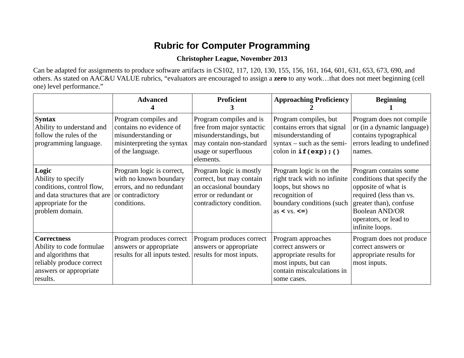## **Rubric for Computer Programming**

## **Christopher League, November 2013**

Can be adapted for assignments to produce software artifacts in CS102, 117, 120, 130, 155, 156, 161, 164, 601, 631, 653, 673, 690, and others. As stated on AAC&U VALUE rubrics, "evaluators are encouraged to assign a **zero** to any work…that does not meet beginning (cell one) level performance."

|                                                                                                                                         | <b>Advanced</b>                                                                                                          | Proficient<br>З                                                                                                                                 | <b>Approaching Proficiency</b>                                                                                                                                                                  | <b>Beginning</b>                                                                                                                                                                                      |
|-----------------------------------------------------------------------------------------------------------------------------------------|--------------------------------------------------------------------------------------------------------------------------|-------------------------------------------------------------------------------------------------------------------------------------------------|-------------------------------------------------------------------------------------------------------------------------------------------------------------------------------------------------|-------------------------------------------------------------------------------------------------------------------------------------------------------------------------------------------------------|
| <b>Syntax</b><br>Ability to understand and<br>follow the rules of the<br>programming language.                                          | Program compiles and<br>contains no evidence of<br>misunderstanding or<br>misinterpreting the syntax<br>of the language. | Program compiles and is<br>free from major syntactic<br>misunderstandings, but<br>may contain non-standard<br>usage or superfluous<br>elements. | Program compiles, but<br>contains errors that signal<br>misunderstanding of<br>$syntax - such$ as the semi-<br>colon in $if(exp); \{\}$                                                         | Program does not compile<br>or (in a dynamic language)<br>contains typographical<br>errors leading to undefined<br>names.                                                                             |
| Logic<br>Ability to specify<br>conditions, control flow,<br>and data structures that are<br>appropriate for the<br>problem domain.      | Program logic is correct,<br>with no known boundary<br>errors, and no redundant<br>or contradictory<br>conditions.       | Program logic is mostly<br>correct, but may contain<br>an occasional boundary<br>error or redundant or<br>contradictory condition.              | Program logic is on the<br>right track with no infinite<br>loops, but shows no<br>recognition of<br>boundary conditions (such<br>as $\langle \mathbf{v} \mathbf{s}, \langle \mathbf{v} \rangle$ | Program contains some<br>conditions that specify the<br>opposite of what is<br>required (less than vs.<br>greater than), confuse<br><b>Boolean AND/OR</b><br>operators, or lead to<br>infinite loops. |
| <b>Correctness</b><br>Ability to code formulae<br>and algorithms that<br>reliably produce correct<br>answers or appropriate<br>results. | Program produces correct<br>answers or appropriate<br>results for all inputs tested.                                     | Program produces correct<br>answers or appropriate<br>results for most inputs.                                                                  | Program approaches<br>correct answers or<br>appropriate results for<br>most inputs, but can<br>contain miscalculations in<br>some cases.                                                        | Program does not produce<br>correct answers or<br>appropriate results for<br>most inputs.                                                                                                             |